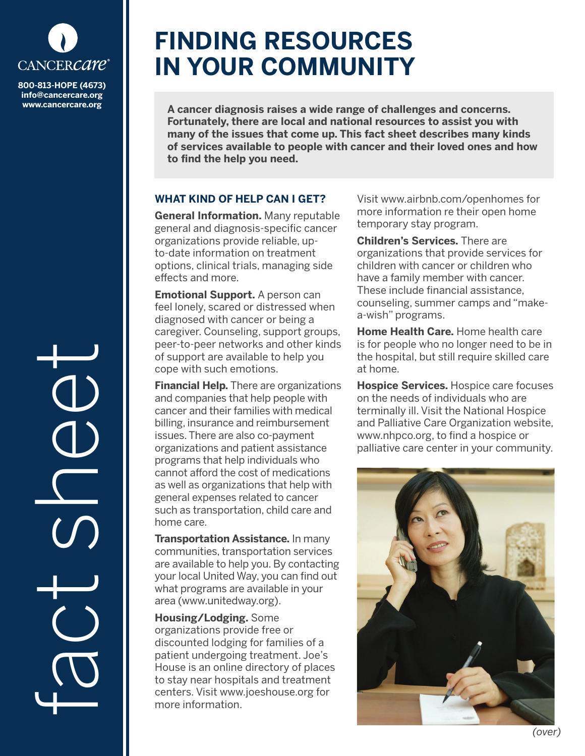

**info@cancercare.org www.cancercare.org**

fact se

# **FINDING RESOURCES IN YOUR COMMUNITY**

**A cancer diagnosis raises a wide range of challenges and concerns. Fortunately, there are local and national resources to assist you with many of the issues that come up. This fact sheet describes many kinds of services available to people with cancer and their loved ones and how to find the help you need.**

## **WHAT KIND OF HELP CAN I GET?**

**General Information.** Many reputable general and diagnosis-specific cancer organizations provide reliable, upto-date information on treatment options, clinical trials, managing side effects and more.

**Emotional Support.** A person can feel lonely, scared or distressed when diagnosed with cancer or being a caregiver. Counseling, support groups, peer-to-peer networks and other kinds of support are available to help you cope with such emotions.

**Financial Help.** There are organizations and companies that help people with cancer and their families with medical billing, insurance and reimbursement issues. There are also co-payment organizations and patient assistance programs that help individuals who cannot afford the cost of medications as well as organizations that help with general expenses related to cancer such as transportation, child care and home care.

**Transportation Assistance.** In many communities, transportation services are available to help you. By contacting your local United Way, you can find out what programs are available in your area (www.unitedway.org).

**Housing/Lodging.** Some organizations provide free or discounted lodging for families of a patient undergoing treatment. Joe's House is an online directory of places to stay near hospitals and treatment centers. Visit www.joeshouse.org for more information.

Visit www.airbnb.com/openhomes for more information re their open home temporary stay program.

**Children's Services.** There are organizations that provide services for children with cancer or children who have a family member with cancer. These include financial assistance, counseling, summer camps and "makea-wish" programs.

**Home Health Care.** Home health care is for people who no longer need to be in the hospital, but still require skilled care at home.

**Hospice Services.** Hospice care focuses on the needs of individuals who are terminally ill. Visit the National Hospice and Palliative Care Organization website, www.nhpco.org, to find a hospice or palliative care center in your community.